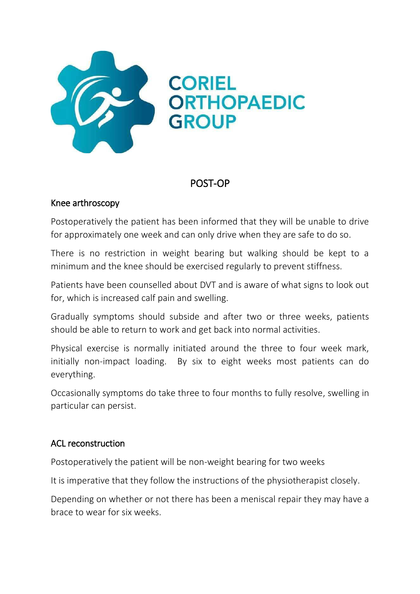

## POST-OP

## Knee arthroscopy

Postoperatively the patient has been informed that they will be unable to drive for approximately one week and can only drive when they are safe to do so.

There is no restriction in weight bearing but walking should be kept to a minimum and the knee should be exercised regularly to prevent stiffness.

Patients have been counselled about DVT and is aware of what signs to look out for, which is increased calf pain and swelling.

Gradually symptoms should subside and after two or three weeks, patients should be able to return to work and get back into normal activities.

Physical exercise is normally initiated around the three to four week mark, initially non-impact loading. By six to eight weeks most patients can do everything.

Occasionally symptoms do take three to four months to fully resolve, swelling in particular can persist.

## ACL reconstruction

Postoperatively the patient will be non-weight bearing for two weeks

It is imperative that they follow the instructions of the physiotherapist closely.

Depending on whether or not there has been a meniscal repair they may have a brace to wear for six weeks.